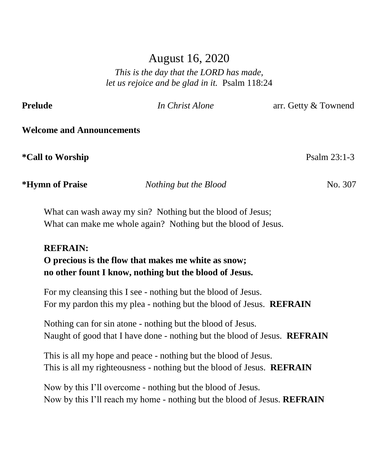## August 16, 2020

*This is the day that the LORD has made, let us rejoice and be glad in it.* Psalm 118:24

| <b>Prelude</b>                   | In Christ Alone                                                                                                             | arr. Getty $&$ Townend |
|----------------------------------|-----------------------------------------------------------------------------------------------------------------------------|------------------------|
| <b>Welcome and Announcements</b> |                                                                                                                             |                        |
| <i>*Call to Worship</i>          |                                                                                                                             | Psalm $23:1-3$         |
| *Hymn of Praise                  | Nothing but the Blood                                                                                                       | No. 307                |
|                                  | What can wash away my sin? Nothing but the blood of Jesus;<br>What can make me whole again? Nothing but the blood of Jesus. |                        |

## **REFRAIN: O precious is the flow that makes me white as snow; no other fount I know, nothing but the blood of Jesus.**

For my cleansing this I see - nothing but the blood of Jesus. For my pardon this my plea - nothing but the blood of Jesus. **REFRAIN**

Nothing can for sin atone - nothing but the blood of Jesus. Naught of good that I have done - nothing but the blood of Jesus. **REFRAIN**

This is all my hope and peace - nothing but the blood of Jesus. This is all my righteousness - nothing but the blood of Jesus. **REFRAIN**

Now by this I'll overcome - nothing but the blood of Jesus. Now by this I'll reach my home - nothing but the blood of Jesus. **REFRAIN**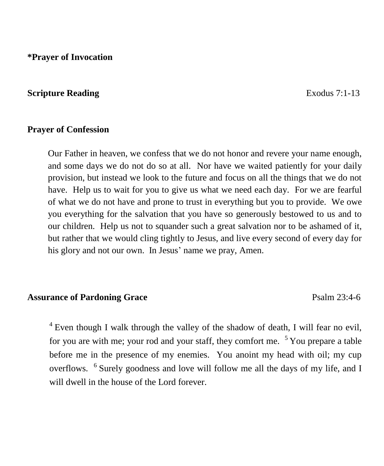**\*Prayer of Invocation** 

#### **Scripture Reading Exodus 7:1-13**

#### **Prayer of Confession**

Our Father in heaven, we confess that we do not honor and revere your name enough, and some days we do not do so at all. Nor have we waited patiently for your daily provision, but instead we look to the future and focus on all the things that we do not have. Help us to wait for you to give us what we need each day. For we are fearful of what we do not have and prone to trust in everything but you to provide. We owe you everything for the salvation that you have so generously bestowed to us and to our children. Help us not to squander such a great salvation nor to be ashamed of it, but rather that we would cling tightly to Jesus, and live every second of every day for his glory and not our own. In Jesus' name we pray, Amen.

#### **Assurance of Pardoning Grace** Psalm 23:4-6

<sup>4</sup> Even though I walk through the valley of the shadow of death, I will fear no evil, for you are with me; your rod and your staff, they comfort me.  $5$  You prepare a table before me in the presence of my enemies. You anoint my head with oil; my cup overflows. <sup>6</sup> Surely goodness and love will follow me all the days of my life, and I will dwell in the house of the Lord forever.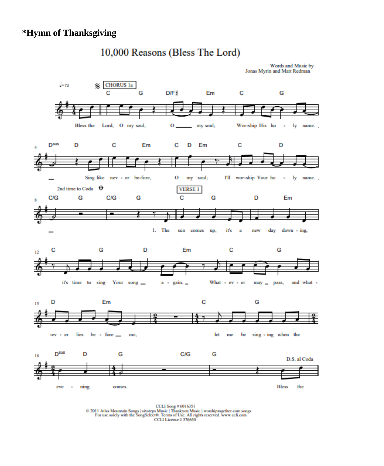### **\*Hymn of Thanksgiving**

## 10,000 Reasons (Bless The Lord)

Words and Music by Jonas Myrin and Matt Redman



CCLI Song # 6016351 C 2011 Atlas Mountain Songs | sixsteps Music | Thankyou Music | worshiptogether.com songs<br>For use solely with the SongSelect®. Terms of Use. All rights reserved. www.celi.com CCLI License # 376630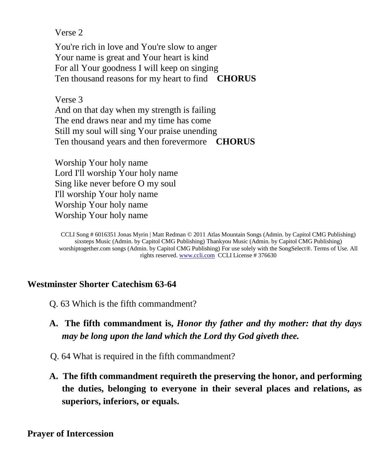Verse 2

You're rich in love and You're slow to anger Your name is great and Your heart is kind For all Your goodness I will keep on singing Ten thousand reasons for my heart to find **CHORUS**

Verse 3 And on that day when my strength is failing The end draws near and my time has come Still my soul will sing Your praise unending Ten thousand years and then forevermore **CHORUS**

Worship Your holy name Lord I'll worship Your holy name Sing like never before O my soul I'll worship Your holy name Worship Your holy name Worship Your holy name

CCLI Song # 6016351 Jonas Myrin | Matt Redman © 2011 Atlas Mountain Songs (Admin. by Capitol CMG Publishing) sixsteps Music (Admin. by Capitol CMG Publishing) Thankyou Music (Admin. by Capitol CMG Publishing) worshiptogether.com songs (Admin. by Capitol CMG Publishing) For use solely with the SongSelect®. Terms of Use. All rights reserved[. www.ccli.com](http://www.ccli.com/) CCLI License # 376630

#### **Westminster Shorter Catechism 63-64**

- Q. 63 Which is the fifth commandment?
- **A. The fifth commandment is,** *Honor thy father and thy mother: that thy days may be long upon the land which the Lord thy God giveth thee.*
- Q. 64 What is required in the fifth commandment?
- **A. The fifth commandment requireth the preserving the honor, and performing the duties, belonging to everyone in their several places and relations, as superiors, inferiors, or equals.**

**Prayer of Intercession**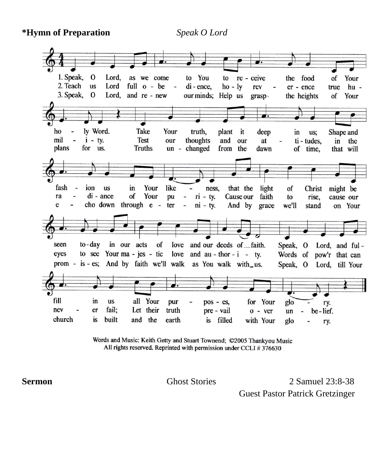**\*Hymn of Preparation** *Speak O Lord*



Words and Music: Keith Getty and Stuart Townend; ©2005 Thankyou Music All rights reserved. Reprinted with permission under CCLI #376630

**Sermon** Ghost Stories 2 Samuel 23:8-38 Guest Pastor Patrick Gretzinger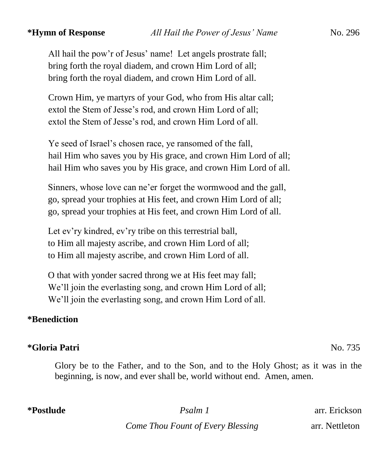All hail the pow'r of Jesus' name! Let angels prostrate fall; bring forth the royal diadem, and crown Him Lord of all; bring forth the royal diadem, and crown Him Lord of all.

Crown Him, ye martyrs of your God, who from His altar call; extol the Stem of Jesse's rod, and crown Him Lord of all; extol the Stem of Jesse's rod, and crown Him Lord of all.

Ye seed of Israel's chosen race, ye ransomed of the fall, hail Him who saves you by His grace, and crown Him Lord of all; hail Him who saves you by His grace, and crown Him Lord of all.

Sinners, whose love can ne'er forget the wormwood and the gall, go, spread your trophies at His feet, and crown Him Lord of all; go, spread your trophies at His feet, and crown Him Lord of all.

Let ev'ry kindred, ev'ry tribe on this terrestrial ball, to Him all majesty ascribe, and crown Him Lord of all; to Him all majesty ascribe, and crown Him Lord of all.

O that with yonder sacred throng we at His feet may fall; We'll join the everlasting song, and crown Him Lord of all; We'll join the everlasting song, and crown Him Lord of all.

#### **\*Benediction**

#### **\*Gloria Patri** No. 735

Glory be to the Father, and to the Son, and to the Holy Ghost; as it was in the beginning, is now, and ever shall be, world without end. Amen, amen.

**\*Postlude** *Psalm 1* arr. Erickson

*Come Thou Fount of Every Blessing* arr. Nettleton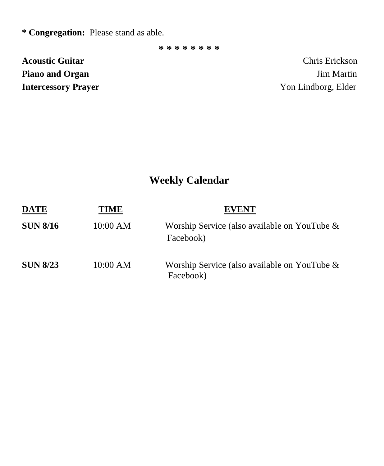**\* Congregation:** Please stand as able.

**\* \* \* \* \* \* \* \***

## **Acoustic Guitar Chris Exception Chris Except Chris Erickson Piano and Organ Jim Martin Intercessory Prayer** Yon Lindborg, Elder

## **Weekly Calendar**

| <b>DATE</b>     | TIME     | <b>EVENT</b>                                                 |
|-----------------|----------|--------------------------------------------------------------|
| <b>SUN 8/16</b> | 10:00 AM | Worship Service (also available on YouTube $\&$<br>Facebook) |
| <b>SUN 8/23</b> | 10:00 AM | Worship Service (also available on YouTube $\&$<br>Facebook) |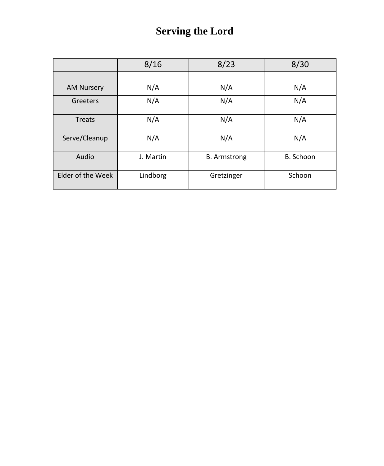# **Serving the Lord**

|                   | 8/16      | 8/23                | 8/30      |
|-------------------|-----------|---------------------|-----------|
|                   |           |                     |           |
| <b>AM Nursery</b> | N/A       | N/A                 | N/A       |
| Greeters          | N/A       | N/A                 | N/A       |
| <b>Treats</b>     | N/A       | N/A                 | N/A       |
| Serve/Cleanup     | N/A       | N/A                 | N/A       |
| Audio             | J. Martin | <b>B.</b> Armstrong | B. Schoon |
| Elder of the Week | Lindborg  | Gretzinger          | Schoon    |